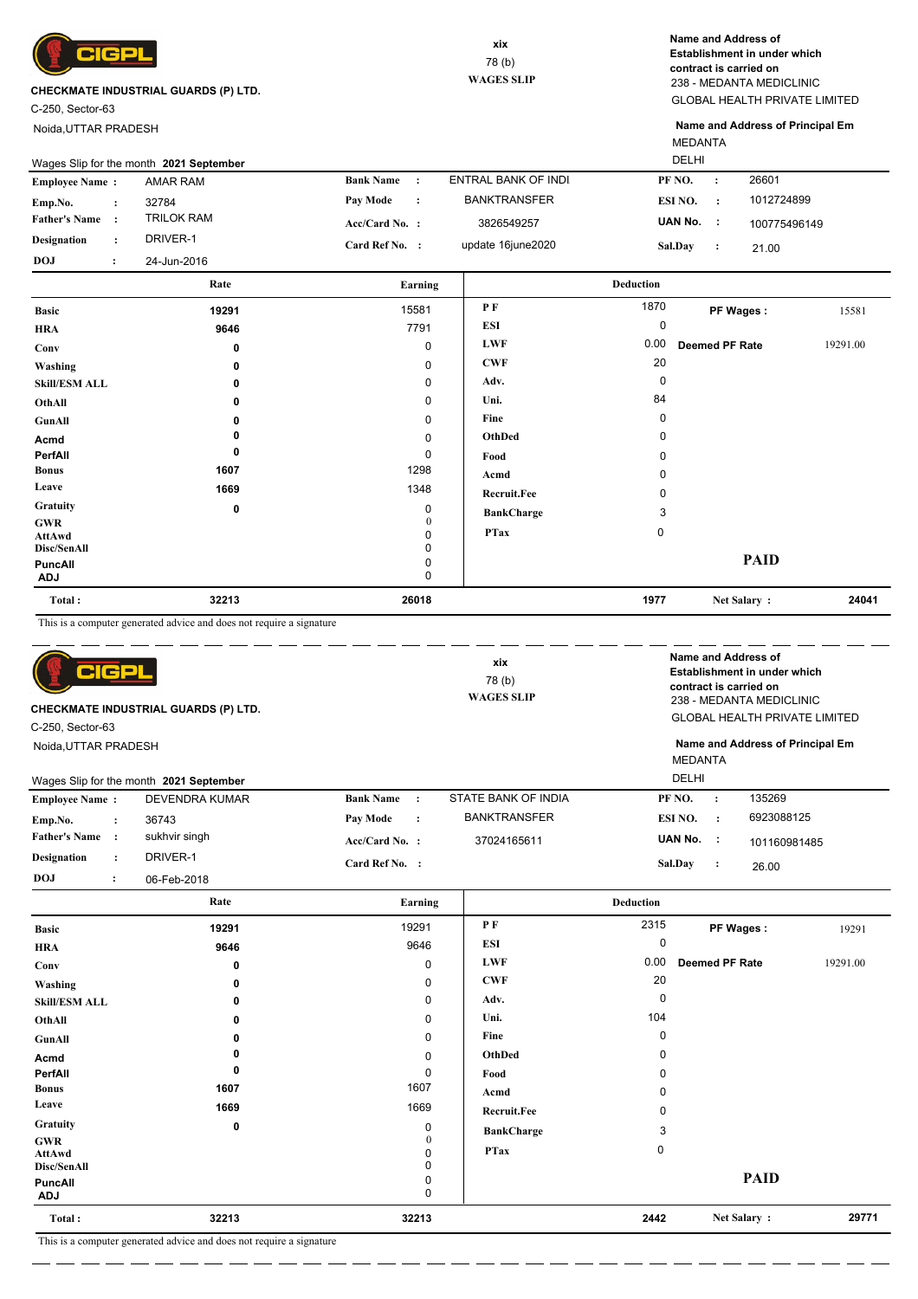

C-250, Sector-63

Noida,UTTAR PRADESH

GLOBAL HEALTH PRIVATE LIMITED 238 - MEDANTA MEDICLINIC **Name and Address of Establishment in under which contract is carried on**

MEDANTA **Name and Address of Principal Em**

|                       | Wages Slip for the month 2021 September |                     | <b>DELHI</b>        |                      |              |  |
|-----------------------|-----------------------------------------|---------------------|---------------------|----------------------|--------------|--|
| <b>Employee Name:</b> | AMAR RAM                                | <b>Bank Name</b>    | ENTRAL BANK OF INDI | PF NO.               | 26601        |  |
| Emp.No.               | 32784                                   | Pay Mode<br>$\cdot$ | <b>BANKTRANSFER</b> | ESI NO.<br>$\cdot$ : | 1012724899   |  |
| <b>Father's Name</b>  | <b>TRILOK RAM</b>                       | $Acc/Card No.$ :    | 3826549257          | UAN No.<br>- 11      | 100775496149 |  |
| <b>Designation</b>    | DRIVER-1                                | Card Ref No. :      | update 16june2020   | <b>Sal.Dav</b>       | 21.00        |  |
| <b>DOJ</b>            | 24-Jun-2016                             |                     |                     |                      |              |  |
|                       | Rate                                    | Earning             |                     | Deduction            |              |  |

|                       |       | $-$            |                   |             |                       |          |
|-----------------------|-------|----------------|-------------------|-------------|-----------------------|----------|
| <b>Basic</b>          | 19291 | 15581          | P F               | 1870        | PF Wages:             | 15581    |
| <b>HRA</b>            | 9646  | 7791           | <b>ESI</b>        | 0           |                       |          |
| Conv                  | 0     | 0              | <b>LWF</b>        | 0.00        | <b>Deemed PF Rate</b> | 19291.00 |
| Washing               | 0     | 0              | <b>CWF</b>        | 20          |                       |          |
| <b>Skill/ESM ALL</b>  | 0     | 0              | Adv.              | 0           |                       |          |
| OthAll                | 0     | 0              | Uni.              | 84          |                       |          |
| GunAll                | 0     | 0              | Fine              | $\Omega$    |                       |          |
| Acmd                  | 0     | 0              | OthDed            | 0           |                       |          |
| PerfAll               | 0     | 0              | Food              | 0           |                       |          |
| <b>Bonus</b>          | 1607  | 1298           | Acmd              | 0           |                       |          |
| Leave                 | 1669  | 1348           | Recruit.Fee       | 0           |                       |          |
| Gratuity              | 0     | 0              | <b>BankCharge</b> | 3           |                       |          |
| <b>GWR</b><br>AttAwd  |       | 0<br>0         | <b>PTax</b>       | $\mathbf 0$ |                       |          |
| Disc/SenAll           |       | 0              |                   |             |                       |          |
| PuncAll<br><b>ADJ</b> |       | 0<br>$\pmb{0}$ |                   |             | <b>PAID</b>           |          |
| Total:                | 32213 | 26018          |                   | 1977        | Net Salary:           | 24041    |

This is a computer generated advice and does not require a signature

| 어머리<br><b>CHECKMATE INDUSTRIAL GUARDS (P) LTD.</b><br>C-250, Sector-63<br>Noida, UTTAR PRADESH |                       | Name and Address of<br>xix<br>Establishment in under which<br>78(b)<br>contract is carried on<br><b>WAGES SLIP</b><br>238 - MEDANTA MEDICLINIC<br><b>MEDANTA</b> |                     |                           | <b>GLOBAL HEALTH PRIVATE LIMITED</b><br>Name and Address of Principal Em |
|------------------------------------------------------------------------------------------------|-----------------------|------------------------------------------------------------------------------------------------------------------------------------------------------------------|---------------------|---------------------------|--------------------------------------------------------------------------|
| Wages Slip for the month 2021 September                                                        |                       |                                                                                                                                                                  |                     | <b>DELHI</b>              |                                                                          |
| <b>Employee Name:</b>                                                                          | <b>DEVENDRA KUMAR</b> | <b>Bank Name</b><br>$\cdot$ :                                                                                                                                    | STATE BANK OF INDIA | PF NO.<br>$\cdot$         | 135269                                                                   |
| Emp.No.<br>$\ddot{\phantom{a}}$                                                                | 36743                 | Pay Mode<br>$\cdot$ :                                                                                                                                            | <b>BANKTRANSFER</b> | ESI NO.<br>$\mathbf{r}$   | 6923088125                                                               |
| <b>Father's Name</b><br>$\cdot$ :                                                              | sukhvir singh         | Acc/Card No. :                                                                                                                                                   | 37024165611         | UAN No. :                 | 101160981485                                                             |
| <b>Designation</b><br>$\ddot{\phantom{a}}$                                                     | DRIVER-1              | Card Ref No. :                                                                                                                                                   |                     | Sal.Day<br>$\ddot{\cdot}$ | 26.00                                                                    |
| <b>DOJ</b><br>$\ddot{\cdot}$                                                                   | 06-Feb-2018           |                                                                                                                                                                  |                     |                           |                                                                          |

|                              | Rate  | Earning       |                    | <b>Deduction</b> |                       |          |
|------------------------------|-------|---------------|--------------------|------------------|-----------------------|----------|
| <b>Basic</b>                 | 19291 | 19291         | P F                | 2315             | PF Wages:             | 19291    |
| <b>HRA</b>                   | 9646  | 9646          | <b>ESI</b>         | 0                |                       |          |
| Conv                         | 0     | 0             | <b>LWF</b>         | 0.00             | <b>Deemed PF Rate</b> | 19291.00 |
| Washing                      | 0     | 0             | <b>CWF</b>         | 20               |                       |          |
| <b>Skill/ESM ALL</b>         | 0     | $\mathbf 0$   | Adv.               | 0                |                       |          |
| OthAll                       | 0     | $\mathbf 0$   | Uni.               | 104              |                       |          |
| GunAll                       | 0     | 0             | Fine               | $\Omega$         |                       |          |
| Acmd                         |       | $\pmb{0}$     | OthDed             | 0                |                       |          |
| PerfAll                      | 0     | 0             | Food               | 0                |                       |          |
| <b>Bonus</b>                 | 1607  | 1607          | Acmd               | 0                |                       |          |
| Leave                        | 1669  | 1669          | <b>Recruit.Fee</b> | 0                |                       |          |
| Gratuity                     | 0     | 0             | <b>BankCharge</b>  | 3                |                       |          |
| <b>GWR</b>                   |       | 0<br>$\Omega$ | <b>PTax</b>        | $\mathbf 0$      |                       |          |
| <b>AttAwd</b><br>Disc/SenAll |       | 0             |                    |                  |                       |          |
| <b>PuncAll</b><br><b>ADJ</b> |       | 0<br>0        |                    |                  | <b>PAID</b>           |          |
| Total:                       | 32213 | 32213         |                    | 2442             | Net Salary:           | 29771    |

This is a computer generated advice and does not require a signature

. <u>. . . . . . . . .</u> . . . . .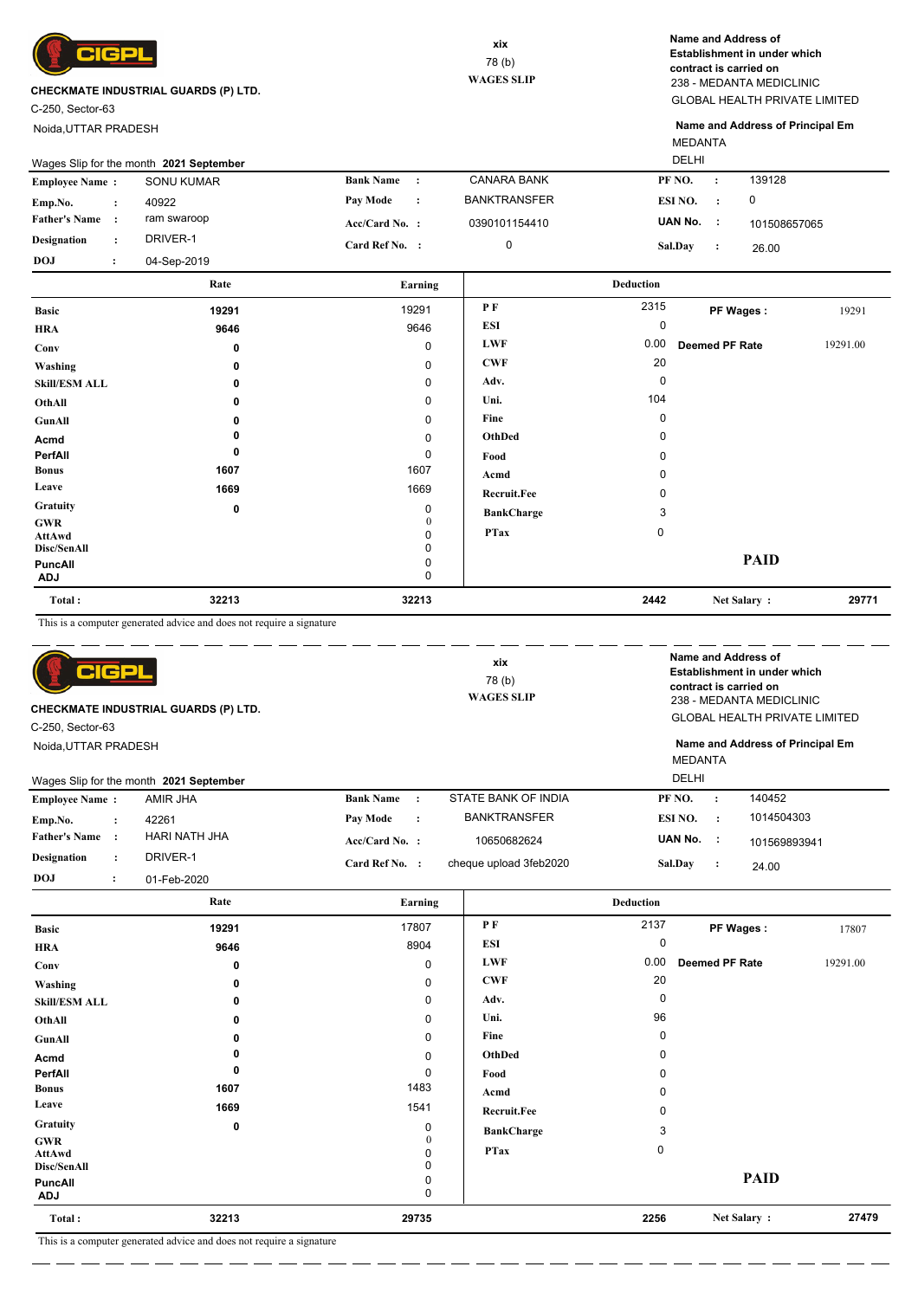

C-250, Sector-63

Noida,UTTAR PRADESH

GLOBAL HEALTH PRIVATE LIMITED 238 - MEDANTA MEDICLINIC **Name and Address of Establishment in under which contract is carried on**

MEDANTA **Name and Address of Principal Em**

|                       | Wages Slip for the month 2021 September |             |                  |           |                     | <b>DELHI</b>   |           |              |
|-----------------------|-----------------------------------------|-------------|------------------|-----------|---------------------|----------------|-----------|--------------|
| <b>Employee Name:</b> |                                         | SONU KUMAR  | <b>Bank Name</b> | $\cdot$ : | <b>CANARA BANK</b>  | PF NO.         |           | 139128       |
| Emp.No.               |                                         | 40922       | Pay Mode         | $\cdot$ : | <b>BANKTRANSFER</b> | ESI NO.        | $\cdot$ . | 0            |
| <b>Father's Name</b>  |                                         | ram swaroop | $Acc/Card No.$ : |           | 0390101154410       | UAN No.        |           | 101508657065 |
| <b>Designation</b>    |                                         | DRIVER-1    | Card Ref No. :   |           |                     | <b>Sal.Dav</b> |           | 26.00        |
| <b>DOJ</b>            |                                         | 04-Sep-2019 |                  |           |                     |                |           |              |

|                             | Rate  | Earning           |                   | <b>Deduction</b> |                |          |
|-----------------------------|-------|-------------------|-------------------|------------------|----------------|----------|
| <b>Basic</b>                | 19291 | 19291             | PF                | 2315             | PF Wages:      | 19291    |
| <b>HRA</b>                  | 9646  | 9646              | ESI               | 0                |                |          |
| Conv                        | 0     | 0                 | <b>LWF</b>        | 0.00             | Deemed PF Rate | 19291.00 |
| Washing                     | 0     | 0                 | <b>CWF</b>        | 20               |                |          |
| <b>Skill/ESM ALL</b>        | 0     | 0                 | Adv.              | 0                |                |          |
| OthAll                      | 0     | 0                 | Uni.              | 104              |                |          |
| GunAll                      | 0     | 0                 | Fine              | 0                |                |          |
| Acmd                        |       | 0                 | OthDed            | 0                |                |          |
| PerfAll                     | 0     | 0                 | Food              | 0                |                |          |
| <b>Bonus</b>                | 1607  | 1607              | Acmd              | 0                |                |          |
| Leave                       | 1669  | 1669              | Recruit.Fee       | 0                |                |          |
| Gratuity                    | 0     | 0                 | <b>BankCharge</b> | 3                |                |          |
| <b>GWR</b><br><b>AttAwd</b> |       | $\mathbf{0}$<br>0 | <b>PTax</b>       | $\mathbf 0$      |                |          |
| Disc/SenAll                 |       | 0                 |                   |                  |                |          |
| PuncAll<br><b>ADJ</b>       |       | 0<br>0            |                   |                  | <b>PAID</b>    |          |
| Total:                      | 32213 | 32213             |                   | 2442             | Net Salary:    | 29771    |

This is a computer generated advice and does not require a signature

| C-250, Sector-63      | IGP                  | CHECKMATE INDUSTRIAL GUARDS (P) LTD.    |                  |                | xix<br>78 (b)<br><b>WAGES SLIP</b> |                                |         | Name and Address of<br>Establishment in under which<br>contract is carried on<br>238 - MEDANTA MEDICLINIC<br><b>GLOBAL HEALTH PRIVATE LIMITED</b> |
|-----------------------|----------------------|-----------------------------------------|------------------|----------------|------------------------------------|--------------------------------|---------|---------------------------------------------------------------------------------------------------------------------------------------------------|
| Noida, UTTAR PRADESH  |                      | Wages Slip for the month 2021 September |                  |                |                                    | <b>MEDANTA</b><br><b>DELHI</b> |         | Name and Address of Principal Em                                                                                                                  |
| <b>Employee Name:</b> |                      | AMIR JHA                                | <b>Bank Name</b> | $\cdot$ :      | STATE BANK OF INDIA                | PF NO.                         | $\cdot$ | 140452                                                                                                                                            |
| Emp.No.               | $\ddot{\phantom{a}}$ | 42261                                   | Pay Mode         | $\ddot{\cdot}$ | <b>BANKTRANSFER</b>                | ESI NO.                        | $\cdot$ | 1014504303                                                                                                                                        |
| <b>Father's Name</b>  |                      | HARI NATH JHA                           | $Acc/Card No.$ : |                | 10650682624                        | UAN No. :                      |         | 101569893941                                                                                                                                      |
| <b>Designation</b>    | $\ddot{\phantom{a}}$ | DRIVER-1                                | Card Ref No. :   |                | cheque upload 3feb2020             | Sal.Dav                        | $\cdot$ | 24.00                                                                                                                                             |
| DOJ                   | ٠                    | 01-Feb-2020                             |                  |                |                                    |                                |         |                                                                                                                                                   |

|                                     | Rate                                                                                                                                                                                                                          | Earning                |                   | <b>Deduction</b> |                |          |
|-------------------------------------|-------------------------------------------------------------------------------------------------------------------------------------------------------------------------------------------------------------------------------|------------------------|-------------------|------------------|----------------|----------|
| <b>Basic</b>                        | 19291                                                                                                                                                                                                                         | 17807                  | P F               | 2137             | PF Wages:      | 17807    |
| <b>HRA</b>                          | 9646                                                                                                                                                                                                                          | 8904                   | <b>ESI</b>        | $\mathbf 0$      |                |          |
| Conv                                | 0                                                                                                                                                                                                                             | 0                      | <b>LWF</b>        | 0.00             | Deemed PF Rate | 19291.00 |
| Washing                             | 0                                                                                                                                                                                                                             | 0                      | <b>CWF</b>        | 20               |                |          |
| <b>Skill/ESM ALL</b>                | 0                                                                                                                                                                                                                             | 0                      | Adv.              | 0                |                |          |
| OthAll                              | 0                                                                                                                                                                                                                             | 0                      | Uni.              | 96               |                |          |
| GunAll                              | 0                                                                                                                                                                                                                             | 0                      | Fine              | 0                |                |          |
| Acmd                                | 0                                                                                                                                                                                                                             | 0                      | OthDed            | 0                |                |          |
| PerfAll                             | 0                                                                                                                                                                                                                             | 0                      | Food              | $\Omega$         |                |          |
| <b>Bonus</b>                        | 1607                                                                                                                                                                                                                          | 1483                   | Acmd              | $\Omega$         |                |          |
| Leave                               | 1669                                                                                                                                                                                                                          | 1541                   | Recruit.Fee       | $\Omega$         |                |          |
| Gratuity                            | 0                                                                                                                                                                                                                             | 0                      | <b>BankCharge</b> | 3                |                |          |
| <b>GWR</b><br>AttAwd<br>Disc/SenAll |                                                                                                                                                                                                                               | $\mathbf{0}$<br>0<br>0 | <b>PTax</b>       | 0                |                |          |
| <b>PuncAll</b><br><b>ADJ</b>        |                                                                                                                                                                                                                               | 0<br>0                 |                   |                  | <b>PAID</b>    |          |
| Total:                              | 32213                                                                                                                                                                                                                         | 29735                  |                   | 2256             | Net Salary:    | 27479    |
|                                     | contracts and the contracts of the contracts of the contracts of the contracts of the contracts of the contracts of the contracts of the contracts of the contracts of the contracts of the contracts of the contracts of the |                        |                   |                  |                |          |

This is a computer generated advice and does not require a signature . <u>. . . . . . . . . . .</u> . . . .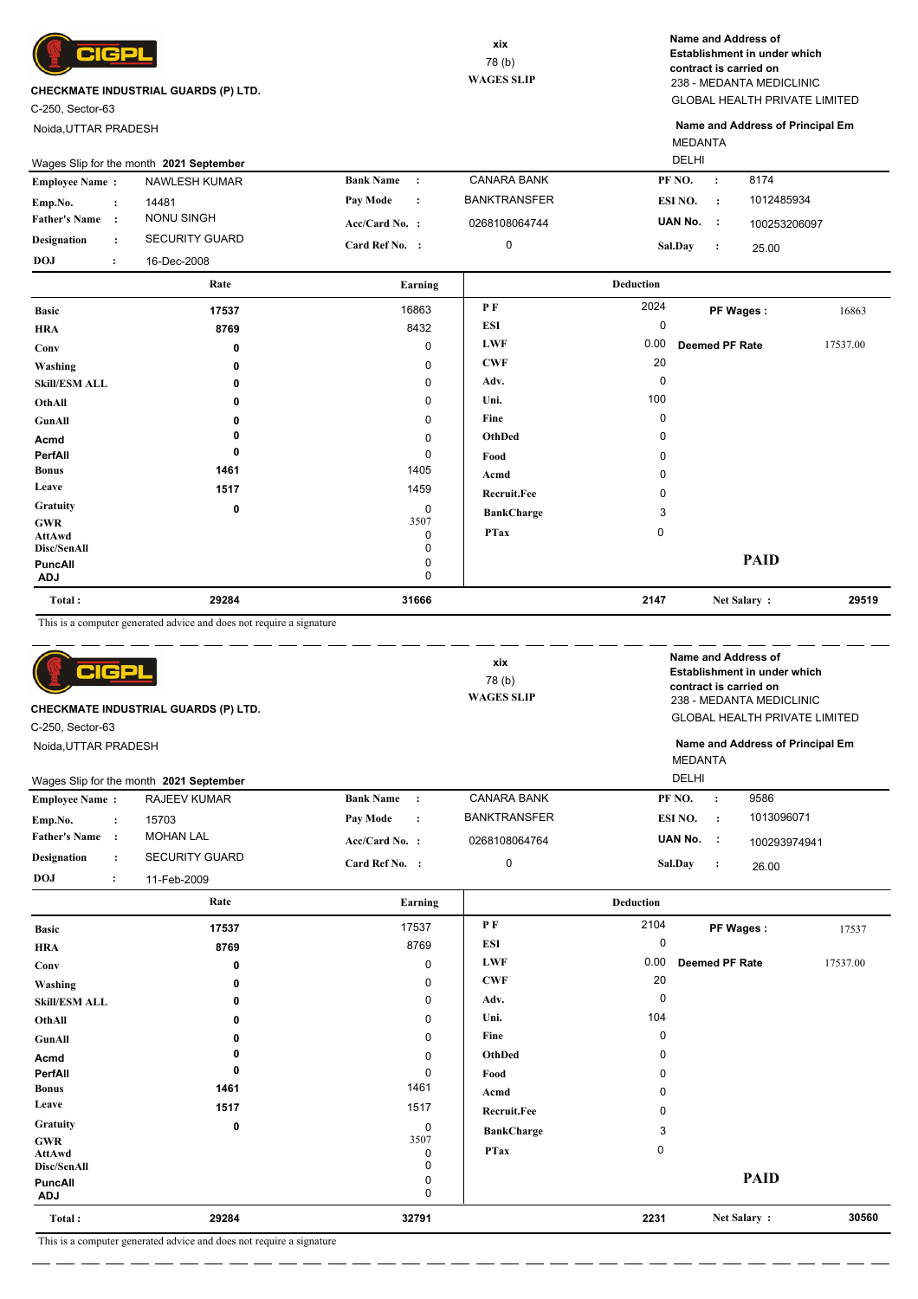

C-250, Sector-63

Noida,UTTAR PRADESH

GLOBAL HEALTH PRIVATE LIMITED 238 - MEDANTA MEDICLINIC **Name and Address of Establishment in under which contract is carried on**

MEDANTA **Name and Address of Principal Em**

|                       | Wages Slip for the month 2021 September |                       |                  |         | DELHI               |                |         |              |  |
|-----------------------|-----------------------------------------|-----------------------|------------------|---------|---------------------|----------------|---------|--------------|--|
| <b>Employee Name:</b> |                                         | NAWLESH KUMAR         | <b>Bank Name</b> | $\cdot$ | <b>CANARA BANK</b>  | PF NO.         |         | 8174         |  |
| Emp.No.               |                                         | 14481                 | <b>Pay Mode</b>  | $\cdot$ | <b>BANKTRANSFER</b> | ESI NO.        | $\cdot$ | 1012485934   |  |
| <b>Father's Name</b>  |                                         | NONU SINGH            | $Acc/Card No.$ : |         | 0268108064744       | UAN No.        | - 11    | 100253206097 |  |
| Designation           |                                         | <b>SECURITY GUARD</b> | Card Ref No. :   |         |                     | <b>Sal.Dav</b> |         | 25.00        |  |
| <b>DOJ</b>            |                                         | 16-Dec-2008           |                  |         |                     |                |         |              |  |

|                       | Rate  | Earning     |                    | <b>Deduction</b> |                |          |
|-----------------------|-------|-------------|--------------------|------------------|----------------|----------|
| <b>Basic</b>          | 17537 | 16863       | PF                 | 2024             | PF Wages:      | 16863    |
| <b>HRA</b>            | 8769  | 8432        | <b>ESI</b>         | 0                |                |          |
| Conv                  | 0     | 0           | <b>LWF</b>         | 0.00             | Deemed PF Rate | 17537.00 |
| Washing               | 0     | 0           | <b>CWF</b>         | 20               |                |          |
| <b>Skill/ESM ALL</b>  | 0     | 0           | Adv.               | 0                |                |          |
| OthAll                | 0     | 0           | Uni.               | 100              |                |          |
| GunAll                | n     | 0           | Fine               | 0                |                |          |
| Acmd                  |       | 0           | OthDed             | 0                |                |          |
| PerfAll               | 0     | 0           | Food               | n                |                |          |
| <b>Bonus</b>          | 1461  | 1405        | Acmd               | ŋ                |                |          |
| Leave                 | 1517  | 1459        | <b>Recruit.Fee</b> |                  |                |          |
| Gratuity              | 0     | 0           | <b>BankCharge</b>  | 3                |                |          |
| <b>GWR</b><br>AttAwd  |       | 3507<br>0   | <b>PTax</b>        | $\mathbf 0$      |                |          |
| Disc/SenAll           |       | $\mathbf 0$ |                    |                  |                |          |
| PuncAll<br><b>ADJ</b> |       | 0<br>0      |                    |                  | <b>PAID</b>    |          |
| Total:                | 29284 | 31666       |                    | 2147             | Net Salary:    | 29519    |

This is a computer generated advice and does not require a signature

| Rosic                 |                      | 17537                                       | 17537                         | P F                 | 2104                                 |                                                    | PF Wanns<br>17537                                   |  |
|-----------------------|----------------------|---------------------------------------------|-------------------------------|---------------------|--------------------------------------|----------------------------------------------------|-----------------------------------------------------|--|
|                       |                      | Rate                                        | Earning                       |                     | <b>Deduction</b>                     |                                                    |                                                     |  |
| <b>DOJ</b>            | $\ddot{\cdot}$       | 11-Feb-2009                                 |                               |                     |                                      |                                                    |                                                     |  |
| <b>Designation</b>    | $\ddot{\phantom{a}}$ | <b>SECURITY GUARD</b>                       | Card Ref No. :                | $\mathbf 0$         | Sal.Day                              | $\cdot$ :                                          | 26.00                                               |  |
| <b>Father's Name</b>  | $\cdot$ :            | <b>MOHAN LAL</b>                            | $Acc/Card No.$ :              | 0268108064764       | UAN No. :                            |                                                    | 100293974941                                        |  |
| Emp.No.               | $\ddot{\cdot}$       | 15703                                       | Pay Mode<br>$\cdot$           | <b>BANKTRANSFER</b> | ESI NO.                              | $\cdot$ :                                          | 1013096071                                          |  |
| <b>Employee Name:</b> |                      | <b>RAJEEV KUMAR</b>                         | <b>Bank Name</b><br>$\cdot$ : | <b>CANARA BANK</b>  | PF NO.                               | $\cdot$                                            | 9586                                                |  |
|                       |                      | Wages Slip for the month 2021 September     |                               |                     | <b>DELHI</b>                         |                                                    |                                                     |  |
| Noida, UTTAR PRADESH  |                      |                                             |                               |                     | <b>MEDANTA</b>                       |                                                    | Name and Address of Principal Em                    |  |
| C-250, Sector-63      |                      |                                             |                               |                     |                                      |                                                    |                                                     |  |
|                       |                      | <b>CHECKMATE INDUSTRIAL GUARDS (P) LTD.</b> | <b>WAGES SLIP</b>             |                     | <b>GLOBAL HEALTH PRIVATE LIMITED</b> |                                                    |                                                     |  |
|                       |                      |                                             |                               |                     |                                      | contract is carried on<br>238 - MEDANTA MEDICLINIC |                                                     |  |
|                       | $e$ icpi             |                                             |                               | xix<br>78(b)        |                                      |                                                    | Name and Address of<br>Establishment in under which |  |
|                       |                      |                                             |                               |                     |                                      |                                                    |                                                     |  |

| Total:<br>$m + 1$     | 29284<br>$\sim$ $\sim$ $\sim$ $\sim$<br>the contract of the contract<br>$\mathbf{r}$ and $\mathbf{r}$ and $\mathbf{r}$ | 32791       |                    | 2231        | Net Salary:           | 30560    |
|-----------------------|------------------------------------------------------------------------------------------------------------------------|-------------|--------------------|-------------|-----------------------|----------|
| PuncAll<br><b>ADJ</b> |                                                                                                                        | 0<br>0      |                    |             | <b>PAID</b>           |          |
| Disc/SenAll           |                                                                                                                        | 0           |                    |             |                       |          |
| <b>GWR</b><br>AttAwd  |                                                                                                                        | 3507<br>0   | <b>PTax</b>        | $\mathbf 0$ |                       |          |
| Gratuity              | 0                                                                                                                      | $\mathbf 0$ | <b>BankCharge</b>  | 3           |                       |          |
| Leave                 | 1517                                                                                                                   | 1517        | <b>Recruit.Fee</b> |             |                       |          |
| <b>Bonus</b>          | 1461                                                                                                                   | 1461        | Acmd               | 0           |                       |          |
| PerfAll               | 0                                                                                                                      | 0           | Food               | 0           |                       |          |
| Acmd                  |                                                                                                                        | 0           | OthDed             | $\Omega$    |                       |          |
| GunAll                | 0                                                                                                                      | 0           | Fine               | $\Omega$    |                       |          |
| OthAll                | 0                                                                                                                      | 0           | Uni.               | 104         |                       |          |
| <b>Skill/ESM ALL</b>  | 0                                                                                                                      | 0           | Adv.               | 0           |                       |          |
| Washing               | 0                                                                                                                      | 0           | <b>CWF</b>         | 20          |                       |          |
| Conv                  | 0                                                                                                                      | 0           | <b>LWF</b>         | 0.00        | <b>Deemed PF Rate</b> | 17537.00 |
| <b>HRA</b>            | 8769                                                                                                                   | 8769        | ESI                | $\Omega$    |                       |          |
| <b>Basic</b>          | 17537                                                                                                                  | 17537       | <b>РЕ</b>          | 2104        | PF Wages:             | 17537    |

 $\overline{\phantom{a}}$ 

ш.,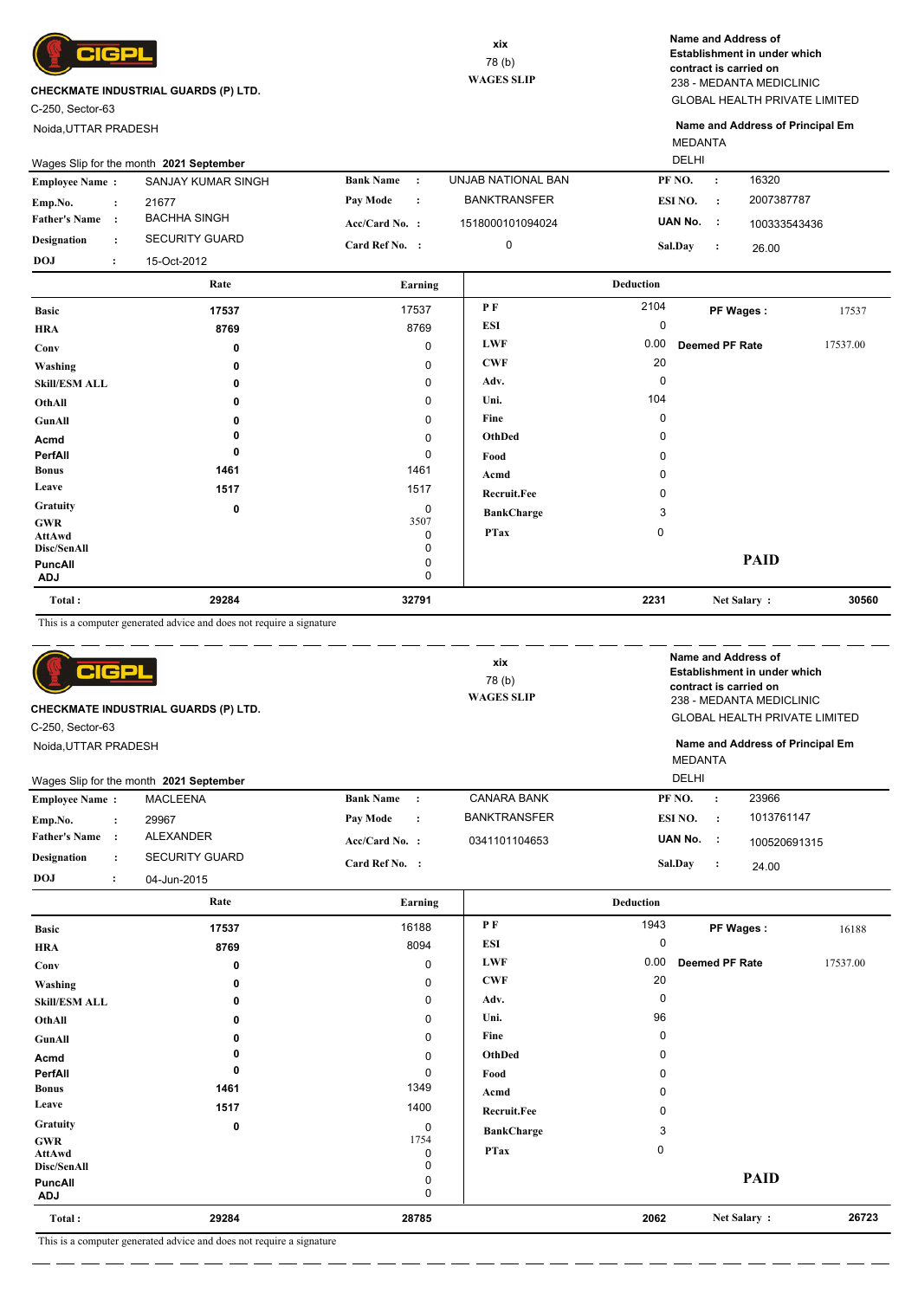

C-250, Sector-63

Noida,UTTAR PRADESH

GLOBAL HEALTH PRIVATE LIMITED 238 - MEDANTA MEDICLINIC **Name and Address of Establishment in under which contract is carried on**

MEDANTA **Name and Address of Principal Em**

|                       |                                   | Rate                                    |                                |                     |                           |              |
|-----------------------|-----------------------------------|-----------------------------------------|--------------------------------|---------------------|---------------------------|--------------|
| <b>DOJ</b>            | $\bullet$<br>$\ddot{\phantom{1}}$ | 15-Oct-2012                             |                                |                     |                           |              |
| <b>Designation</b>    | $\mathbf{r}$                      | <b>SECURITY GUARD</b>                   | Card Ref No.    :              | 0                   | <b>Sal.Dav</b><br>$\cdot$ | 26.00        |
| <b>Father's Name:</b> |                                   | BACHHA SINGH                            | Acc/Card No. :                 | 1518000101094024    | UAN No.<br>-11            | 100333543436 |
| Emp.No.               | $\cdot$ :                         | 21677                                   | Pay Mode<br>$\cdot$ :          | <b>BANKTRANSFER</b> | ESI NO.<br>$\cdot$        | 2007387787   |
| <b>Employee Name:</b> |                                   | SANJAY KUMAR SINGH                      | <b>Bank Name</b><br>$\sim$ 1.1 | UNJAB NATIONAL BAN  | PF NO.<br>$\cdot$         | 16320        |
|                       |                                   | Wages Slip for the month 2021 September |                                |                     | DELHI                     |              |

| <b>Basic</b>                               | 17537 | 17537          | P F               | 2104        | PF Wages:             | 17537    |
|--------------------------------------------|-------|----------------|-------------------|-------------|-----------------------|----------|
| <b>HRA</b>                                 | 8769  | 8769           | <b>ESI</b>        | 0           |                       |          |
| Conv                                       | 0     | 0              | <b>LWF</b>        | 0.00        | <b>Deemed PF Rate</b> | 17537.00 |
| Washing                                    | 0     | 0              | <b>CWF</b>        | 20          |                       |          |
| <b>Skill/ESM ALL</b>                       | 0     | 0              | Adv.              | 0           |                       |          |
| OthAll                                     | 0     | 0              | Uni.              | 104         |                       |          |
| GunAll                                     | 0     | $\mathbf 0$    | Fine              | 0           |                       |          |
| Acmd                                       | 0     | 0              | OthDed            | 0           |                       |          |
| PerfAll                                    | 0     | 0              | Food              | 0           |                       |          |
| <b>Bonus</b>                               | 1461  | 1461           | Acmd              | 0           |                       |          |
| Leave                                      | 1517  | 1517           | Recruit.Fee       | 0           |                       |          |
| Gratuity                                   | 0     | 0              | <b>BankCharge</b> | 3           |                       |          |
| <b>GWR</b><br><b>AttAwd</b><br>Disc/SenAll |       | 3507<br>0<br>0 | <b>PTax</b>       | $\mathbf 0$ |                       |          |
| PuncAll<br><b>ADJ</b>                      |       | 0<br>0         |                   |             | <b>PAID</b>           |          |
| Total:                                     | 29284 | 32791          |                   | 2231        | Net Salary:           | 30560    |

This is a computer generated advice and does not require a signature

| 어더라<br><b>CHECKMATE INDUSTRIAL GUARDS (P) LTD.</b><br>C-250, Sector-63<br>Noida.UTTAR PRADESH<br>Wages Slip for the month 2021 September |                      |                       | xix<br>78(b)<br><b>WAGES SLIP</b> |           | <b>DELHI</b>        | Name and Address of<br>Establishment in under which<br>contract is carried on<br>238 - MEDANTA MEDICLINIC<br><b>GLOBAL HEALTH PRIVATE LIMITED</b><br>Name and Address of Principal Em<br><b>MEDANTA</b> |           |              |  |
|------------------------------------------------------------------------------------------------------------------------------------------|----------------------|-----------------------|-----------------------------------|-----------|---------------------|---------------------------------------------------------------------------------------------------------------------------------------------------------------------------------------------------------|-----------|--------------|--|
| <b>Employee Name:</b>                                                                                                                    |                      | <b>MACLEENA</b>       | <b>Bank Name</b>                  | $\cdot$   | <b>CANARA BANK</b>  | PF NO.                                                                                                                                                                                                  | $\cdot$   | 23966        |  |
| Emp.No.                                                                                                                                  | $\ddot{\phantom{a}}$ | 29967                 | Pay Mode                          | $\cdot$ : | <b>BANKTRANSFER</b> | ESI NO.                                                                                                                                                                                                 | $\cdot$ : | 1013761147   |  |
| <b>Father's Name</b>                                                                                                                     | $\cdot$              | <b>ALEXANDER</b>      | $Acc/Card No.$ :                  |           | 0341101104653       | UAN No.                                                                                                                                                                                                 | - 11      | 100520691315 |  |
| <b>Designation</b>                                                                                                                       | $\ddot{\phantom{a}}$ | <b>SECURITY GUARD</b> | Card Ref No. :                    |           |                     | Sal.Day                                                                                                                                                                                                 | $\cdot$ : | 24.00        |  |
| DOJ                                                                                                                                      | $\cdot$              | 04-Jun-2015           |                                   |           |                     |                                                                                                                                                                                                         |           |              |  |

|                                     | Rate                                  | Earning        |                    | <b>Deduction</b> |                       |          |
|-------------------------------------|---------------------------------------|----------------|--------------------|------------------|-----------------------|----------|
| <b>Basic</b>                        | 17537                                 | 16188          | $P$ $F$            | 1943             | PF Wages:             | 16188    |
| <b>HRA</b>                          | 8769                                  | 8094           | <b>ESI</b>         | 0                |                       |          |
| Conv                                | 0                                     | $\mathbf 0$    | <b>LWF</b>         | 0.00             | <b>Deemed PF Rate</b> | 17537.00 |
| Washing                             | $\Omega$                              | 0              | <b>CWF</b>         | 20               |                       |          |
| <b>Skill/ESM ALL</b>                | 0                                     | 0              | Adv.               | $\Omega$         |                       |          |
| OthAll                              | 0                                     | 0              | Uni.               | 96               |                       |          |
| GunAll                              | 0                                     | 0              | Fine               | 0                |                       |          |
| Acmd                                |                                       | 0              | OthDed             | O                |                       |          |
| PerfAll                             | 0                                     | 0              | Food               | $\Omega$         |                       |          |
| <b>Bonus</b>                        | 1461                                  | 1349           | Acmd               | O                |                       |          |
| Leave                               | 1517                                  | 1400           | <b>Recruit.Fee</b> |                  |                       |          |
| Gratuity                            | 0                                     | 0              | <b>BankCharge</b>  | 3                |                       |          |
| <b>GWR</b><br>AttAwd<br>Disc/SenAll |                                       | 1754<br>0<br>0 | <b>PTax</b>        | 0                |                       |          |
| PuncAll<br><b>ADJ</b>               |                                       | 0<br>0         |                    |                  | <b>PAID</b>           |          |
| Total:                              | 29284                                 | 28785          |                    | 2062             | Net Salary:           | 26723    |
|                                     | $\sim$ $\sim$ $\sim$<br>$\sim$ $\sim$ |                |                    |                  |                       |          |

 $\overline{\phantom{a}}$ L.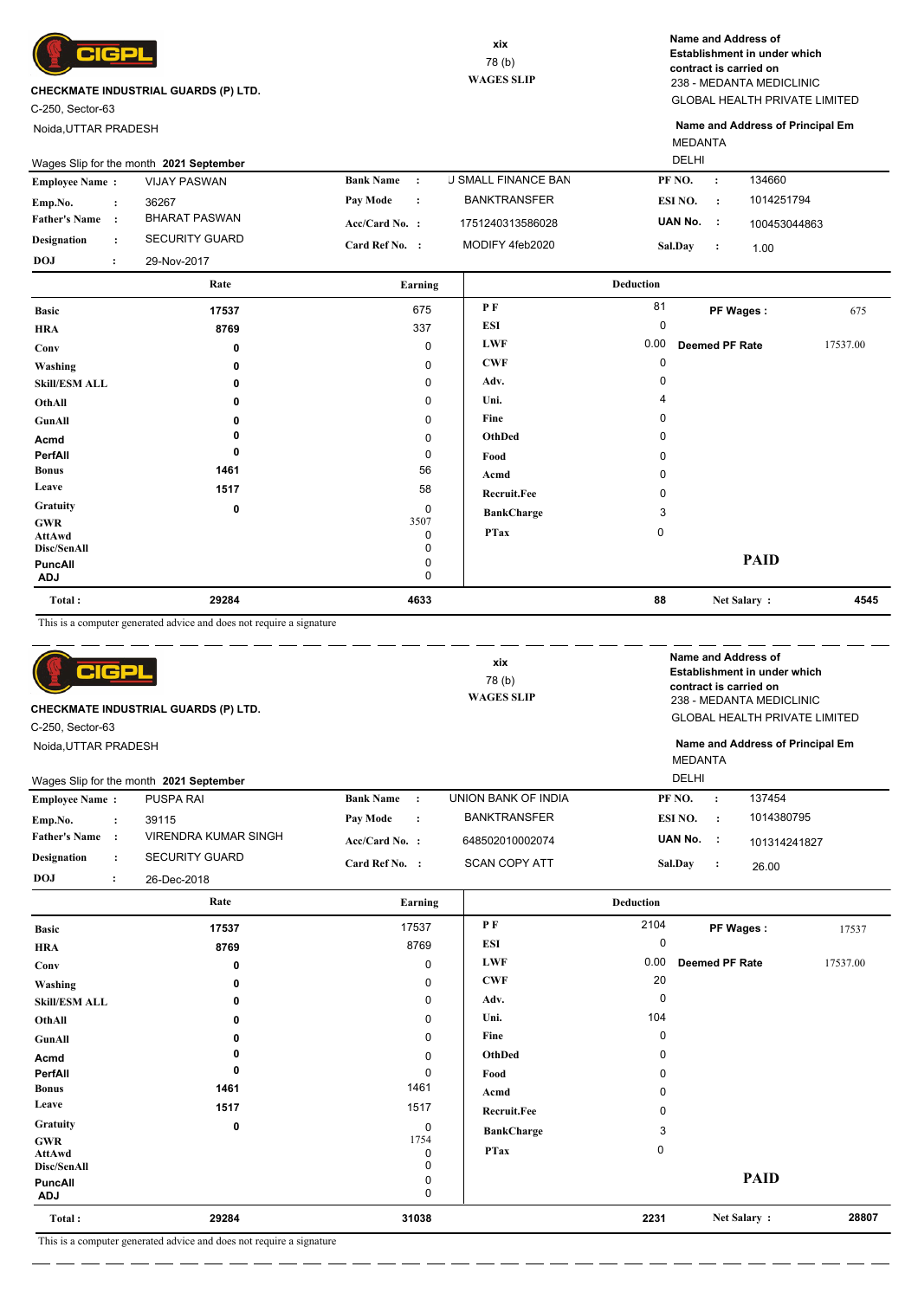

C-250, Sector-63

Noida,UTTAR PRADESH

GLOBAL HEALTH PRIVATE LIMITED 238 - MEDANTA MEDICLINIC **Name and Address of Establishment in under which contract is carried on**

**Name and Address of Principal Em**

26.00

101314241827

**PF Wages :** 17537

**Deemed PF Rate** 17537.00

 **2231 28807 Net Salary :**

**PAID**

**UAN No. : Sal.Day :**

 0  $\overline{0}$ 

**BankCharge** 3

**PTax** 0

|                                      |                                                                      |                               |                            | <b>MEDANTA</b>                 |                                                        |          |
|--------------------------------------|----------------------------------------------------------------------|-------------------------------|----------------------------|--------------------------------|--------------------------------------------------------|----------|
|                                      | Wages Slip for the month 2021 September                              |                               |                            | <b>DELHI</b>                   |                                                        |          |
| <b>Employee Name:</b>                | <b>VIJAY PASWAN</b>                                                  | <b>Bank Name</b><br>$\cdot$ : | <b>J SMALL FINANCE BAN</b> | PF <sub>NO</sub> .             | 134660<br>$\ddot{\cdot}$                               |          |
| Emp.No.<br>$\ddot{\cdot}$            | 36267                                                                | Pay Mode<br>$\ddot{\cdot}$    | <b>BANKTRANSFER</b>        | ESI NO.                        | 1014251794<br>$\cdot$ :                                |          |
| <b>Father's Name</b><br>$\cdot$      | <b>BHARAT PASWAN</b>                                                 | Acc/Card No. :                | 1751240313586028           | UAN No.                        | $\sim 1$<br>100453044863                               |          |
| <b>Designation</b><br>$\ddot{\cdot}$ | <b>SECURITY GUARD</b>                                                | Card Ref No. :                | MODIFY 4feb2020            | Sal.Day                        | $\cdot$<br>1.00                                        |          |
| <b>DOJ</b><br>:                      | 29-Nov-2017                                                          |                               |                            |                                |                                                        |          |
|                                      | Rate                                                                 | Earning                       |                            | <b>Deduction</b>               |                                                        |          |
| <b>Basic</b>                         | 17537                                                                | 675                           | PF                         | 81                             | PF Wages:                                              | 675      |
| <b>HRA</b>                           | 8769                                                                 | 337                           | <b>ESI</b>                 | $\mathbf 0$                    |                                                        |          |
| Conv                                 | $\mathbf 0$                                                          | $\mathbf 0$                   | <b>LWF</b>                 | 0.00                           | <b>Deemed PF Rate</b>                                  | 17537.00 |
| Washing                              | 0                                                                    | $\mathbf 0$                   | <b>CWF</b>                 | $\mathbf 0$                    |                                                        |          |
| <b>Skill/ESM ALL</b>                 | 0                                                                    | $\mathbf 0$                   | Adv.                       | 0                              |                                                        |          |
| OthAll                               | 0                                                                    | $\mathbf 0$                   | Uni.                       | $\overline{4}$                 |                                                        |          |
| <b>GunAll</b>                        | 0                                                                    | $\Omega$                      | Fine                       | $\Omega$                       |                                                        |          |
| Acmd                                 | $\mathbf{0}$                                                         | $\Omega$                      | <b>OthDed</b>              | $\Omega$                       |                                                        |          |
| PerfAll                              | $\mathbf{0}$                                                         | $\mathbf 0$                   | Food                       | $\Omega$                       |                                                        |          |
| <b>Bonus</b>                         | 1461                                                                 | 56                            | Acmd                       | $\Omega$                       |                                                        |          |
| Leave                                | 1517                                                                 | 58                            | Recruit.Fee                | $\Omega$                       |                                                        |          |
| Gratuity                             | $\mathbf 0$                                                          | $\mathbf 0$                   | <b>BankCharge</b>          | 3                              |                                                        |          |
| <b>GWR</b><br><b>AttAwd</b>          |                                                                      | 3507<br>0                     | <b>PTax</b>                | 0                              |                                                        |          |
| Disc/SenAll                          |                                                                      | $\Omega$                      |                            |                                |                                                        |          |
| <b>PuncAll</b>                       |                                                                      | $\mathbf 0$                   |                            |                                | <b>PAID</b>                                            |          |
| <b>ADJ</b>                           |                                                                      | $\Omega$                      |                            |                                |                                                        |          |
| Total:                               | 29284                                                                | 4633                          |                            | 88                             | Net Salary:                                            | 4545     |
|                                      | This is a computer generated advice and does not require a signature |                               |                            |                                |                                                        |          |
|                                      |                                                                      |                               | xix                        |                                | Name and Address of                                    |          |
| c                                    |                                                                      |                               | 78 (b)                     |                                | Establishment in under which<br>contract is carried on |          |
|                                      |                                                                      |                               | <b>WAGES SLIP</b>          |                                | 238 - MEDANTA MEDICLINIC                               |          |
|                                      | CHECKMATE INDUSTRIAL GUARDS (P) LTD.                                 |                               |                            |                                | <b>GLOBAL HEALTH PRIVATE LIMITED</b>                   |          |
| C-250, Sector-63                     |                                                                      |                               |                            |                                |                                                        |          |
| Noida, UTTAR PRADESH                 |                                                                      |                               |                            |                                | Name and Address of Principal Em                       |          |
|                                      |                                                                      |                               |                            | <b>MEDANTA</b><br><b>DELHI</b> |                                                        |          |
|                                      | Wages Slip for the month 2021 September                              |                               |                            |                                |                                                        |          |
| <b>Employee Name:</b>                | <b>PUSPA RAI</b>                                                     | <b>Bank Name</b><br>$\cdot$ : | <b>UNION BANK OF INDIA</b> | PF NO.                         | 137454<br>$\cdot$                                      |          |
| Emp.No.<br>$\cdot$                   | 39115                                                                | Pay Mode<br>$\ddot{\cdot}$    | <b>BANKTRANSFER</b>        | ESI NO.                        | 1014380795<br>$\cdot$                                  |          |

648502010002074 SCAN COPY ATT

> **P F ESI LWF CWF Adv. Uni. Fine OthDed Food Acmd Recruit.Fee**

Rate **Earning Earning Earning Earning Deduction** 

**Acc/Card No. : Card Ref No. :**

> $\overline{0}$ 1754

0

0

 1461 1517

> $\overline{0}$  $\check{\circ}$  $\Omega$

 **31038**

This is a computer generated advice and does not require a signature

VIRENDRA KUMAR SINGH

 **0 8769 17537**

> **0**

 **1461**

 **29284**

 **0 1517**

**ADJ** 0

**Father's Name :**

**Designation :** SECURITY GUARD

**PerfAll 0**

26-Dec-2018

**DOJ :**

**Washing Conv HRA Basic**

**Acmd GunAll OthAll Skill/ESM ALL**

**Bonus Leave Gratuity GWR AttAwd Disc/SenAll PuncAll**

**Total :**